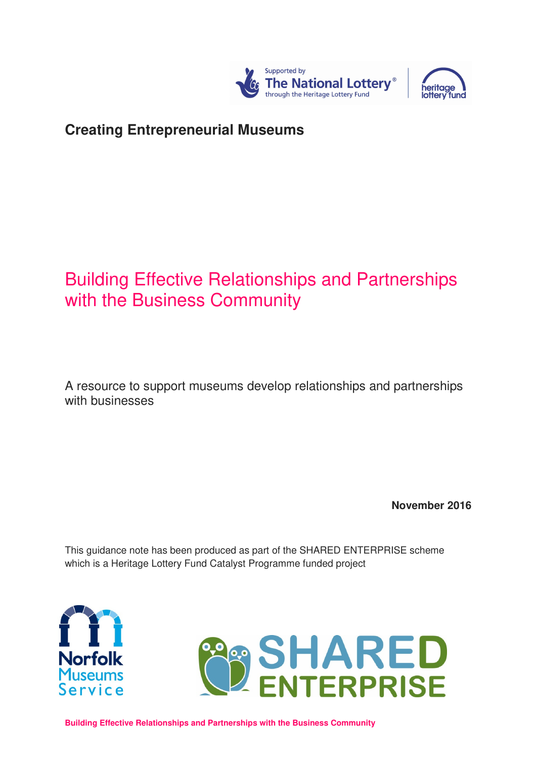



## **Creating Entrepreneurial Museums**

## Building Effective Relationships and Partnerships with the Business Community

A resource to support museums develop relationships and partnerships with businesses

**November 2016** 

This guidance note has been produced as part of the SHARED ENTERPRISE scheme which is a Heritage Lottery Fund Catalyst Programme funded project





**Building Effective Relationships and Partnerships with the Business Community**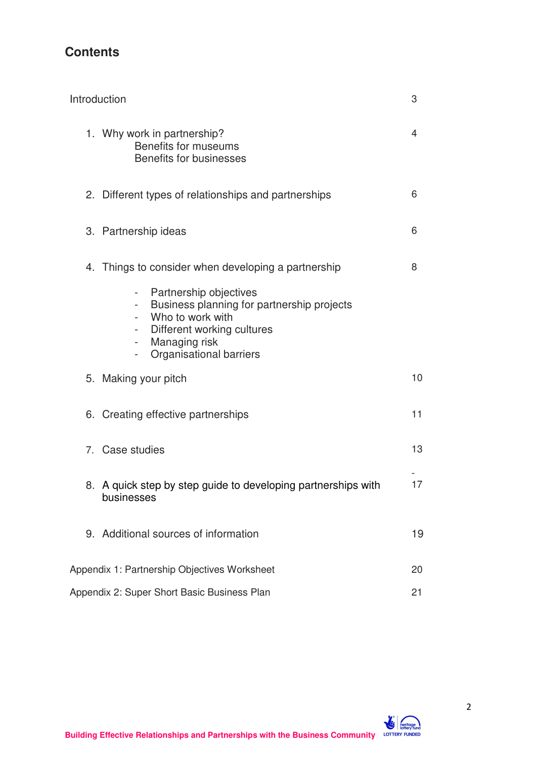## **Contents**

| Introduction                                       |                                                                                                                                                                                                |    |
|----------------------------------------------------|------------------------------------------------------------------------------------------------------------------------------------------------------------------------------------------------|----|
|                                                    | 1. Why work in partnership?<br>Benefits for museums<br><b>Benefits for businesses</b>                                                                                                          | 4  |
|                                                    | 2. Different types of relationships and partnerships                                                                                                                                           | 6  |
|                                                    | 3. Partnership ideas                                                                                                                                                                           | 6  |
|                                                    | 4. Things to consider when developing a partnership                                                                                                                                            | 8  |
|                                                    | Partnership objectives<br>Business planning for partnership projects<br>Who to work with<br>Different working cultures<br>Managing risk<br>$\overline{\phantom{0}}$<br>Organisational barriers |    |
|                                                    | 5. Making your pitch                                                                                                                                                                           | 10 |
|                                                    | 6. Creating effective partnerships                                                                                                                                                             | 11 |
|                                                    | 7. Case studies                                                                                                                                                                                | 13 |
|                                                    | 8. A quick step by step guide to developing partnerships with<br>businesses                                                                                                                    | 17 |
|                                                    | 9. Additional sources of information                                                                                                                                                           | 19 |
| Appendix 1: Partnership Objectives Worksheet<br>20 |                                                                                                                                                                                                |    |
| Appendix 2: Super Short Basic Business Plan<br>21  |                                                                                                                                                                                                |    |

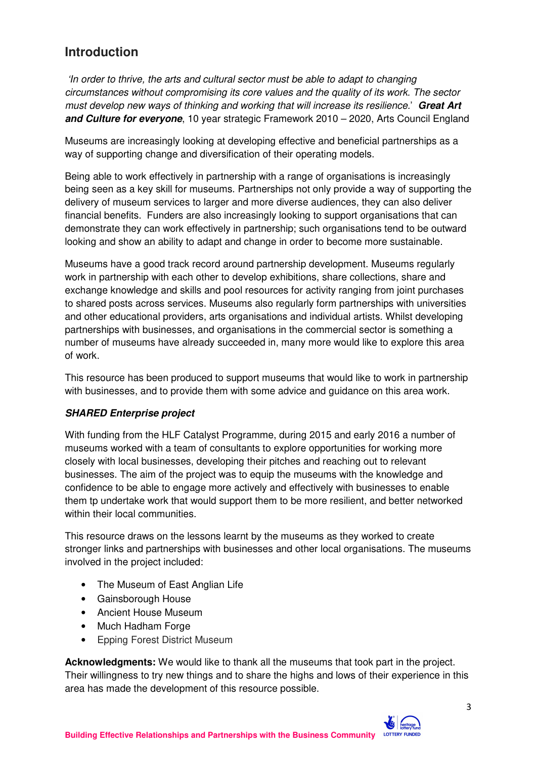## **Introduction**

 'In order to thrive, the arts and cultural sector must be able to adapt to changing circumstances without compromising its core values and the quality of its work. The sector must develop new ways of thinking and working that will increase its resilience.' **Great Art and Culture for everyone**, 10 year strategic Framework 2010 – 2020, Arts Council England

Museums are increasingly looking at developing effective and beneficial partnerships as a way of supporting change and diversification of their operating models.

Being able to work effectively in partnership with a range of organisations is increasingly being seen as a key skill for museums. Partnerships not only provide a way of supporting the delivery of museum services to larger and more diverse audiences, they can also deliver financial benefits. Funders are also increasingly looking to support organisations that can demonstrate they can work effectively in partnership; such organisations tend to be outward looking and show an ability to adapt and change in order to become more sustainable.

Museums have a good track record around partnership development. Museums regularly work in partnership with each other to develop exhibitions, share collections, share and exchange knowledge and skills and pool resources for activity ranging from joint purchases to shared posts across services. Museums also regularly form partnerships with universities and other educational providers, arts organisations and individual artists. Whilst developing partnerships with businesses, and organisations in the commercial sector is something a number of museums have already succeeded in, many more would like to explore this area of work.

This resource has been produced to support museums that would like to work in partnership with businesses, and to provide them with some advice and guidance on this area work.

#### **SHARED Enterprise project**

With funding from the HLF Catalyst Programme, during 2015 and early 2016 a number of museums worked with a team of consultants to explore opportunities for working more closely with local businesses, developing their pitches and reaching out to relevant businesses. The aim of the project was to equip the museums with the knowledge and confidence to be able to engage more actively and effectively with businesses to enable them tp undertake work that would support them to be more resilient, and better networked within their local communities.

This resource draws on the lessons learnt by the museums as they worked to create stronger links and partnerships with businesses and other local organisations. The museums involved in the project included:

- The Museum of East Anglian Life
- Gainsborough House
- Ancient House Museum
- Much Hadham Forge
- Epping Forest District Museum

**Acknowledgments:** We would like to thank all the museums that took part in the project. Their willingness to try new things and to share the highs and lows of their experience in this area has made the development of this resource possible.

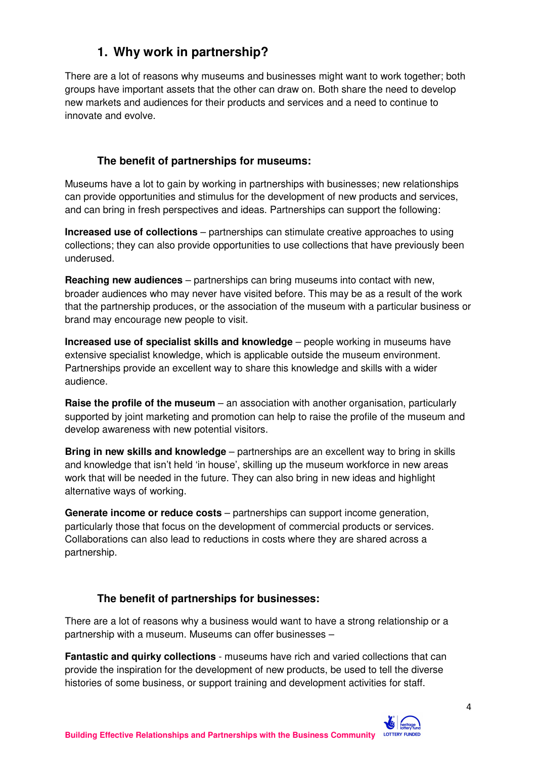## **1. Why work in partnership?**

There are a lot of reasons why museums and businesses might want to work together; both groups have important assets that the other can draw on. Both share the need to develop new markets and audiences for their products and services and a need to continue to innovate and evolve.

#### **The benefit of partnerships for museums:**

Museums have a lot to gain by working in partnerships with businesses; new relationships can provide opportunities and stimulus for the development of new products and services, and can bring in fresh perspectives and ideas. Partnerships can support the following:

**Increased use of collections** – partnerships can stimulate creative approaches to using collections; they can also provide opportunities to use collections that have previously been underused.

**Reaching new audiences** – partnerships can bring museums into contact with new, broader audiences who may never have visited before. This may be as a result of the work that the partnership produces, or the association of the museum with a particular business or brand may encourage new people to visit.

**Increased use of specialist skills and knowledge** – people working in museums have extensive specialist knowledge, which is applicable outside the museum environment. Partnerships provide an excellent way to share this knowledge and skills with a wider audience.

**Raise the profile of the museum** – an association with another organisation, particularly supported by joint marketing and promotion can help to raise the profile of the museum and develop awareness with new potential visitors.

**Bring in new skills and knowledge** – partnerships are an excellent way to bring in skills and knowledge that isn't held 'in house', skilling up the museum workforce in new areas work that will be needed in the future. They can also bring in new ideas and highlight alternative ways of working.

**Generate income or reduce costs** – partnerships can support income generation, particularly those that focus on the development of commercial products or services. Collaborations can also lead to reductions in costs where they are shared across a partnership.

### **The benefit of partnerships for businesses:**

There are a lot of reasons why a business would want to have a strong relationship or a partnership with a museum. Museums can offer businesses –

**Fantastic and quirky collections** - museums have rich and varied collections that can provide the inspiration for the development of new products, be used to tell the diverse histories of some business, or support training and development activities for staff.

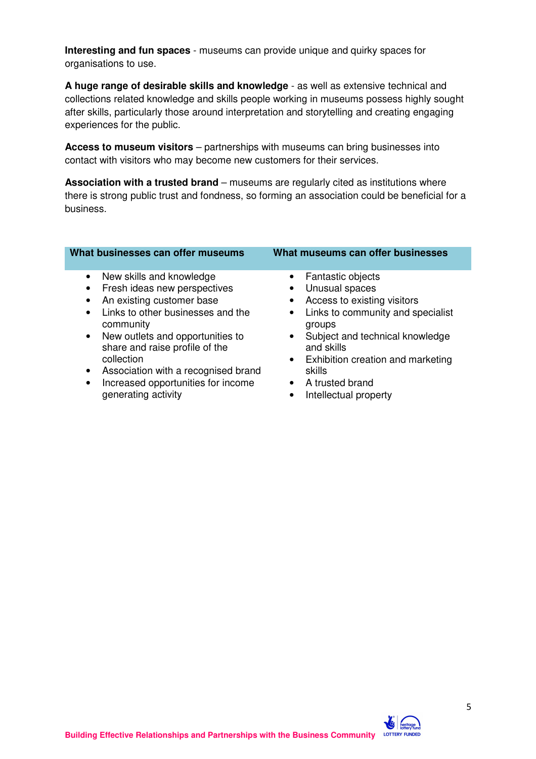**Interesting and fun spaces** - museums can provide unique and quirky spaces for organisations to use.

**A huge range of desirable skills and knowledge** - as well as extensive technical and collections related knowledge and skills people working in museums possess highly sought after skills, particularly those around interpretation and storytelling and creating engaging experiences for the public.

**Access to museum visitors** – partnerships with museums can bring businesses into contact with visitors who may become new customers for their services.

**Association with a trusted brand** – museums are regularly cited as institutions where there is strong public trust and fondness, so forming an association could be beneficial for a business.

| What businesses can offer museums                                                                                                                                                                                                                                                                                                                                                                             | What museums can offer businesses                                                                                                                                                                                                                                                                                   |
|---------------------------------------------------------------------------------------------------------------------------------------------------------------------------------------------------------------------------------------------------------------------------------------------------------------------------------------------------------------------------------------------------------------|---------------------------------------------------------------------------------------------------------------------------------------------------------------------------------------------------------------------------------------------------------------------------------------------------------------------|
| New skills and knowledge<br>$\bullet$<br>Fresh ideas new perspectives<br>An existing customer base<br>$\bullet$<br>Links to other businesses and the<br>$\bullet$<br>community<br>New outlets and opportunities to<br>$\bullet$<br>share and raise profile of the<br>collection<br>Association with a recognised brand<br>$\bullet$<br>Increased opportunities for income<br>$\bullet$<br>generating activity | Fantastic objects<br>Unusual spaces<br>Access to existing visitors<br>$\bullet$<br>Links to community and specialist<br>$\bullet$<br>groups<br>Subject and technical knowledge<br>$\bullet$<br>and skills<br>Exhibition creation and marketing<br>$\bullet$<br>skills<br>• A trusted brand<br>Intellectual property |

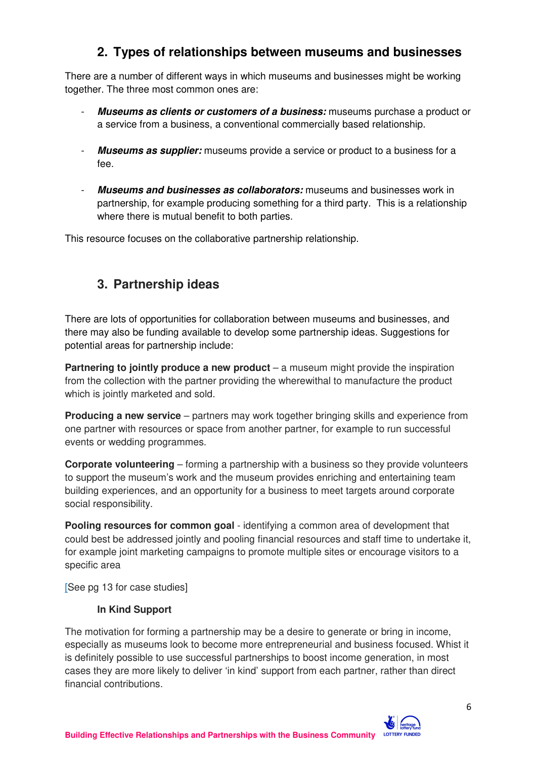## **2. Types of relationships between museums and businesses**

There are a number of different ways in which museums and businesses might be working together. The three most common ones are:

- **Museums as clients or customers of a business:** museums purchase a product or a service from a business, a conventional commercially based relationship.
- **Museums as supplier:** museums provide a service or product to a business for a fee.
- **Museums and businesses as collaborators:** museums and businesses work in partnership, for example producing something for a third party. This is a relationship where there is mutual benefit to both parties.

This resource focuses on the collaborative partnership relationship.

## **3. Partnership ideas**

There are lots of opportunities for collaboration between museums and businesses, and there may also be funding available to develop some partnership ideas. Suggestions for potential areas for partnership include:

**Partnering to jointly produce a new product** – a museum might provide the inspiration from the collection with the partner providing the wherewithal to manufacture the product which is jointly marketed and sold.

**Producing a new service** – partners may work together bringing skills and experience from one partner with resources or space from another partner, for example to run successful events or wedding programmes.

**Corporate volunteering** – forming a partnership with a business so they provide volunteers to support the museum's work and the museum provides enriching and entertaining team building experiences, and an opportunity for a business to meet targets around corporate social responsibility.

**Pooling resources for common goal** - identifying a common area of development that could best be addressed jointly and pooling financial resources and staff time to undertake it, for example joint marketing campaigns to promote multiple sites or encourage visitors to a specific area

[See pg 13 for case studies]

#### **In Kind Support**

The motivation for forming a partnership may be a desire to generate or bring in income, especially as museums look to become more entrepreneurial and business focused. Whist it is definitely possible to use successful partnerships to boost income generation, in most cases they are more likely to deliver 'in kind' support from each partner, rather than direct financial contributions.

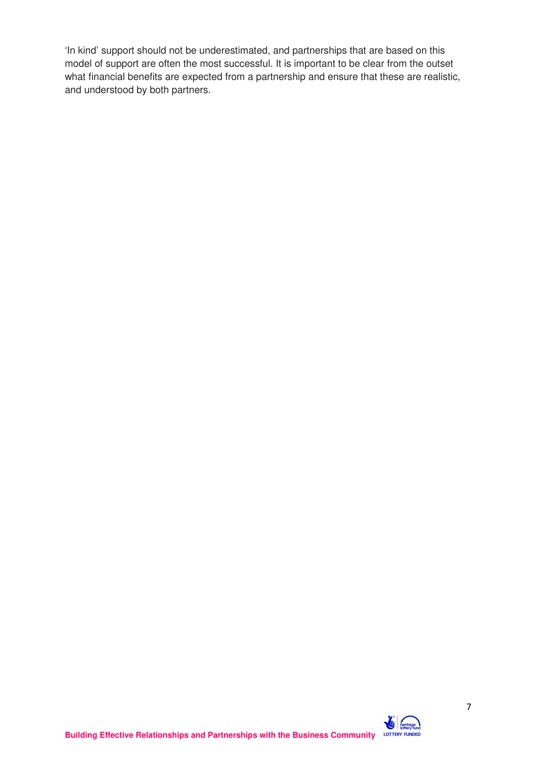'In kind' support should not be underestimated, and partnerships that are based on this model of support are often the most successful. It is important to be clear from the outset what financial benefits are expected from a partnership and ensure that these are realistic, and understood by both partners.

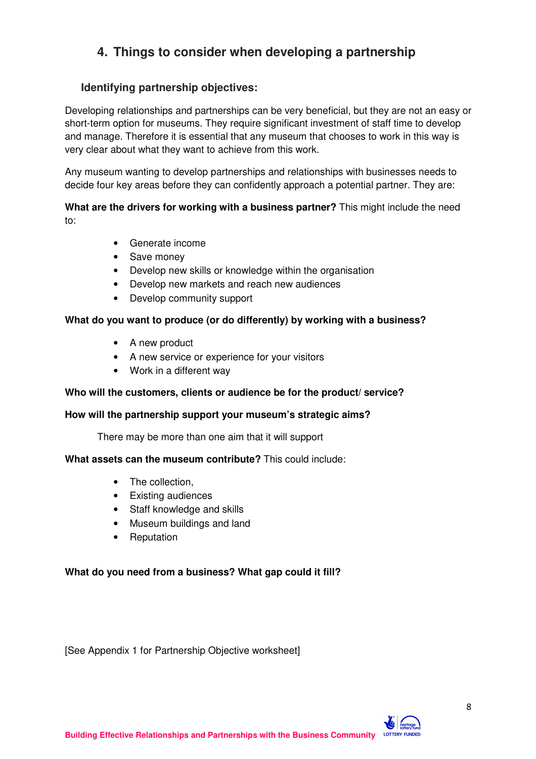## **4. Things to consider when developing a partnership**

#### **Identifying partnership objectives:**

Developing relationships and partnerships can be very beneficial, but they are not an easy or short-term option for museums. They require significant investment of staff time to develop and manage. Therefore it is essential that any museum that chooses to work in this way is very clear about what they want to achieve from this work.

Any museum wanting to develop partnerships and relationships with businesses needs to decide four key areas before they can confidently approach a potential partner. They are:

#### **What are the drivers for working with a business partner?** This might include the need to:

- Generate income
- Save money
- Develop new skills or knowledge within the organisation
- Develop new markets and reach new audiences
- Develop community support

#### **What do you want to produce (or do differently) by working with a business?**

- A new product
- A new service or experience for your visitors
- Work in a different way

#### **Who will the customers, clients or audience be for the product/ service?**

#### **How will the partnership support your museum's strategic aims?**

There may be more than one aim that it will support

#### **What assets can the museum contribute?** This could include:

- The collection,
- Existing audiences
- Staff knowledge and skills
- Museum buildings and land
- Reputation

#### **What do you need from a business? What gap could it fill?**

[See Appendix 1 for Partnership Objective worksheet]

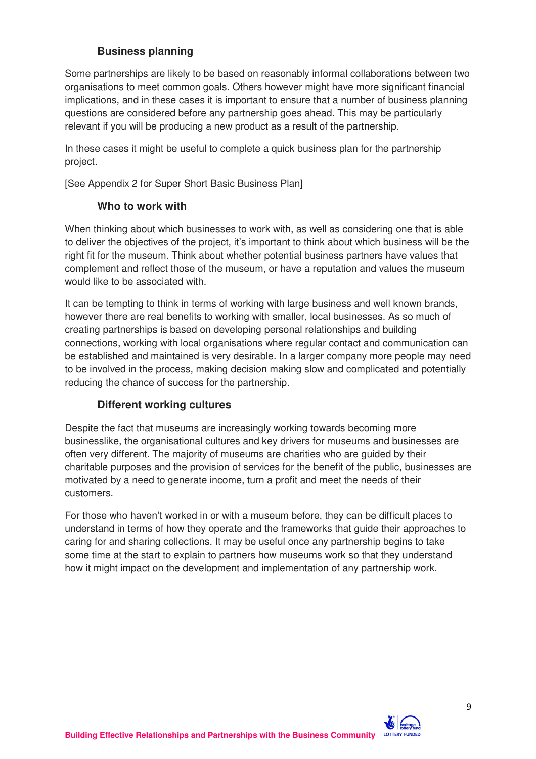#### **Business planning**

Some partnerships are likely to be based on reasonably informal collaborations between two organisations to meet common goals. Others however might have more significant financial implications, and in these cases it is important to ensure that a number of business planning questions are considered before any partnership goes ahead. This may be particularly relevant if you will be producing a new product as a result of the partnership.

In these cases it might be useful to complete a quick business plan for the partnership project.

[See Appendix 2 for Super Short Basic Business Plan]

#### **Who to work with**

When thinking about which businesses to work with, as well as considering one that is able to deliver the objectives of the project, it's important to think about which business will be the right fit for the museum. Think about whether potential business partners have values that complement and reflect those of the museum, or have a reputation and values the museum would like to be associated with.

It can be tempting to think in terms of working with large business and well known brands, however there are real benefits to working with smaller, local businesses. As so much of creating partnerships is based on developing personal relationships and building connections, working with local organisations where regular contact and communication can be established and maintained is very desirable. In a larger company more people may need to be involved in the process, making decision making slow and complicated and potentially reducing the chance of success for the partnership.

#### **Different working cultures**

Despite the fact that museums are increasingly working towards becoming more businesslike, the organisational cultures and key drivers for museums and businesses are often very different. The majority of museums are charities who are guided by their charitable purposes and the provision of services for the benefit of the public, businesses are motivated by a need to generate income, turn a profit and meet the needs of their customers.

For those who haven't worked in or with a museum before, they can be difficult places to understand in terms of how they operate and the frameworks that guide their approaches to caring for and sharing collections. It may be useful once any partnership begins to take some time at the start to explain to partners how museums work so that they understand how it might impact on the development and implementation of any partnership work.

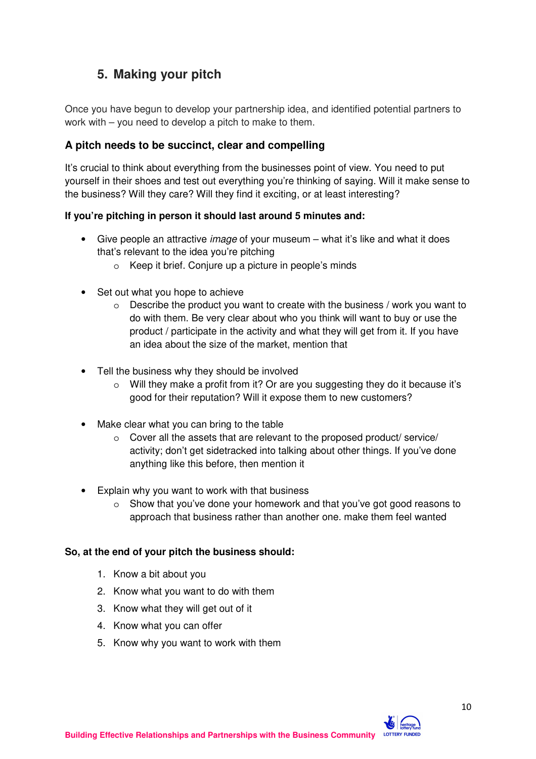## **5. Making your pitch**

Once you have begun to develop your partnership idea, and identified potential partners to work with – you need to develop a pitch to make to them.

#### **A pitch needs to be succinct, clear and compelling**

It's crucial to think about everything from the businesses point of view. You need to put yourself in their shoes and test out everything you're thinking of saying. Will it make sense to the business? Will they care? Will they find it exciting, or at least interesting?

#### **If you're pitching in person it should last around 5 minutes and:**

- Give people an attractive *image* of your museum what it's like and what it does that's relevant to the idea you're pitching
	- o Keep it brief. Conjure up a picture in people's minds
- Set out what you hope to achieve
	- $\circ$  Describe the product you want to create with the business / work you want to do with them. Be very clear about who you think will want to buy or use the product / participate in the activity and what they will get from it. If you have an idea about the size of the market, mention that
- Tell the business why they should be involved
	- $\circ$  Will they make a profit from it? Or are you suggesting they do it because it's good for their reputation? Will it expose them to new customers?
- Make clear what you can bring to the table
	- o Cover all the assets that are relevant to the proposed product/ service/ activity; don't get sidetracked into talking about other things. If you've done anything like this before, then mention it
- Explain why you want to work with that business
	- o Show that you've done your homework and that you've got good reasons to approach that business rather than another one. make them feel wanted

#### **So, at the end of your pitch the business should:**

- 1. Know a bit about you
- 2. Know what you want to do with them
- 3. Know what they will get out of it
- 4. Know what you can offer
- 5. Know why you want to work with them

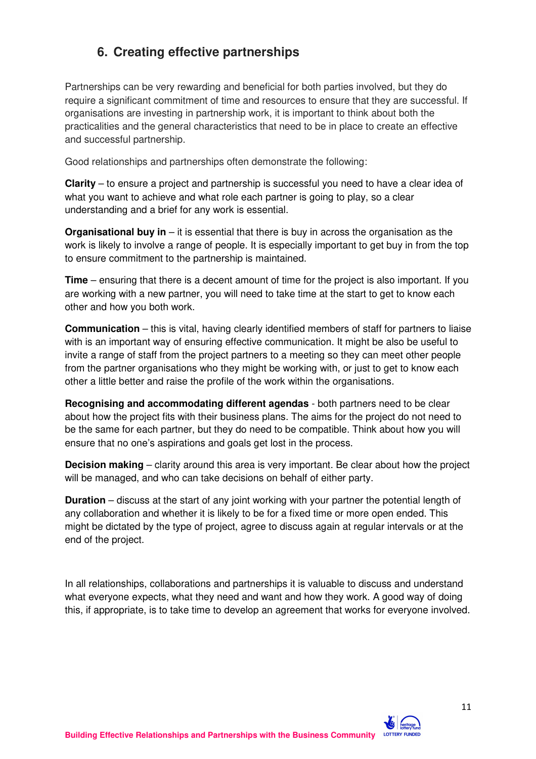## **6. Creating effective partnerships**

Partnerships can be very rewarding and beneficial for both parties involved, but they do require a significant commitment of time and resources to ensure that they are successful. If organisations are investing in partnership work, it is important to think about both the practicalities and the general characteristics that need to be in place to create an effective and successful partnership.

Good relationships and partnerships often demonstrate the following:

**Clarity** – to ensure a project and partnership is successful you need to have a clear idea of what you want to achieve and what role each partner is going to play, so a clear understanding and a brief for any work is essential.

**Organisational buy in** – it is essential that there is buy in across the organisation as the work is likely to involve a range of people. It is especially important to get buy in from the top to ensure commitment to the partnership is maintained.

**Time** – ensuring that there is a decent amount of time for the project is also important. If you are working with a new partner, you will need to take time at the start to get to know each other and how you both work.

**Communication** – this is vital, having clearly identified members of staff for partners to liaise with is an important way of ensuring effective communication. It might be also be useful to invite a range of staff from the project partners to a meeting so they can meet other people from the partner organisations who they might be working with, or just to get to know each other a little better and raise the profile of the work within the organisations.

**Recognising and accommodating different agendas** - both partners need to be clear about how the project fits with their business plans. The aims for the project do not need to be the same for each partner, but they do need to be compatible. Think about how you will ensure that no one's aspirations and goals get lost in the process.

**Decision making** – clarity around this area is very important. Be clear about how the project will be managed, and who can take decisions on behalf of either party.

**Duration** – discuss at the start of any joint working with your partner the potential length of any collaboration and whether it is likely to be for a fixed time or more open ended. This might be dictated by the type of project, agree to discuss again at regular intervals or at the end of the project.

In all relationships, collaborations and partnerships it is valuable to discuss and understand what everyone expects, what they need and want and how they work. A good way of doing this, if appropriate, is to take time to develop an agreement that works for everyone involved.

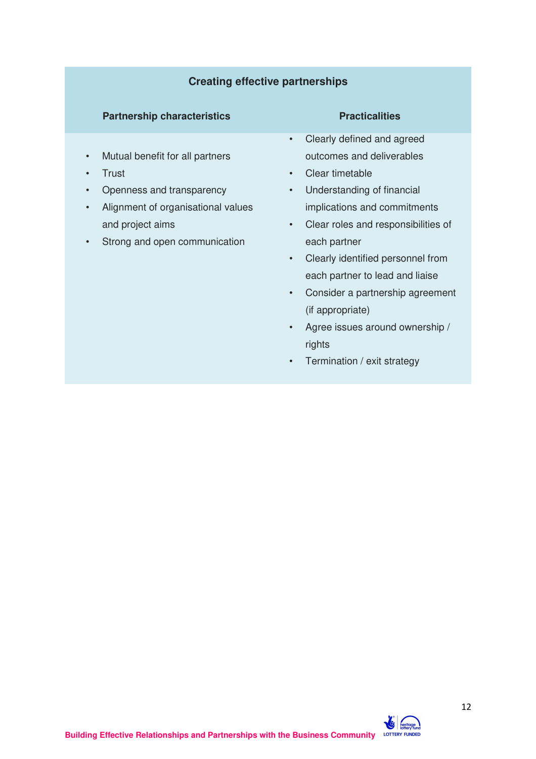#### **Creating effective partnerships**

#### **Partnership characteristics Practicalities**

- Mutual benefit for all partners
- **Trust**
- Openness and transparency
- Alignment of organisational values and project aims
- Strong and open communication

- Clearly defined and agreed outcomes and deliverables
- Clear timetable
- Understanding of financial implications and commitments
- Clear roles and responsibilities of each partner
- Clearly identified personnel from each partner to lead and liaise
- Consider a partnership agreement (if appropriate)
- Agree issues around ownership / rights
- Termination / exit strategy

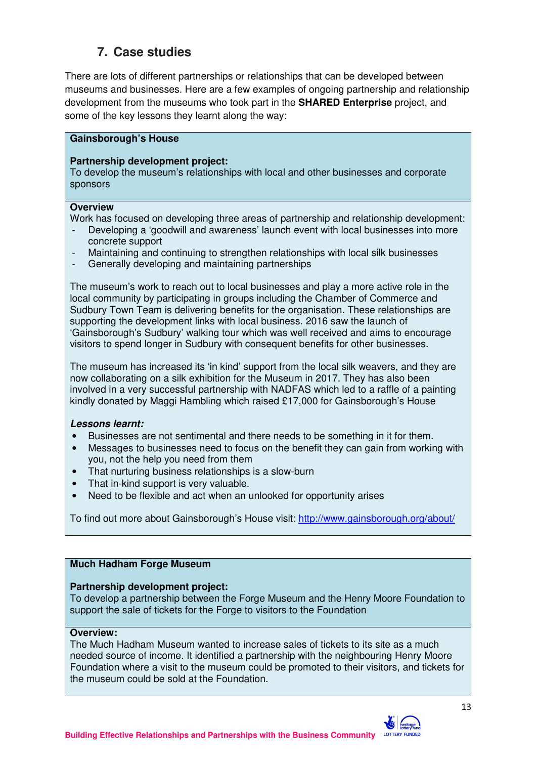## **7. Case studies**

There are lots of different partnerships or relationships that can be developed between museums and businesses. Here are a few examples of ongoing partnership and relationship development from the museums who took part in the **SHARED Enterprise** project, and some of the key lessons they learnt along the way:

#### **Gainsborough's House**

#### **Partnership development project:**

To develop the museum's relationships with local and other businesses and corporate sponsors

#### **Overview**

Work has focused on developing three areas of partnership and relationship development:

- Developing a 'goodwill and awareness' launch event with local businesses into more concrete support
- Maintaining and continuing to strengthen relationships with local silk businesses
- Generally developing and maintaining partnerships

The museum's work to reach out to local businesses and play a more active role in the local community by participating in groups including the Chamber of Commerce and Sudbury Town Team is delivering benefits for the organisation. These relationships are supporting the development links with local business. 2016 saw the launch of 'Gainsborough's Sudbury' walking tour which was well received and aims to encourage visitors to spend longer in Sudbury with consequent benefits for other businesses.

The museum has increased its 'in kind' support from the local silk weavers, and they are now collaborating on a silk exhibition for the Museum in 2017. They has also been involved in a very successful partnership with NADFAS which led to a raffle of a painting kindly donated by Maggi Hambling which raised £17,000 for Gainsborough's House

#### **Lessons learnt:**

- Businesses are not sentimental and there needs to be something in it for them.
- Messages to businesses need to focus on the benefit they can gain from working with you, not the help you need from them
- That nurturing business relationships is a slow-burn
- That in-kind support is very valuable.
- Need to be flexible and act when an unlooked for opportunity arises

To find out more about Gainsborough's House visit: http://www.gainsborough.org/about/

#### **Much Hadham Forge Museum**

#### **Partnership development project:**

To develop a partnership between the Forge Museum and the Henry Moore Foundation to support the sale of tickets for the Forge to visitors to the Foundation

#### **Overview:**

The Much Hadham Museum wanted to increase sales of tickets to its site as a much needed source of income. It identified a partnership with the neighbouring Henry Moore Foundation where a visit to the museum could be promoted to their visitors, and tickets for the museum could be sold at the Foundation.

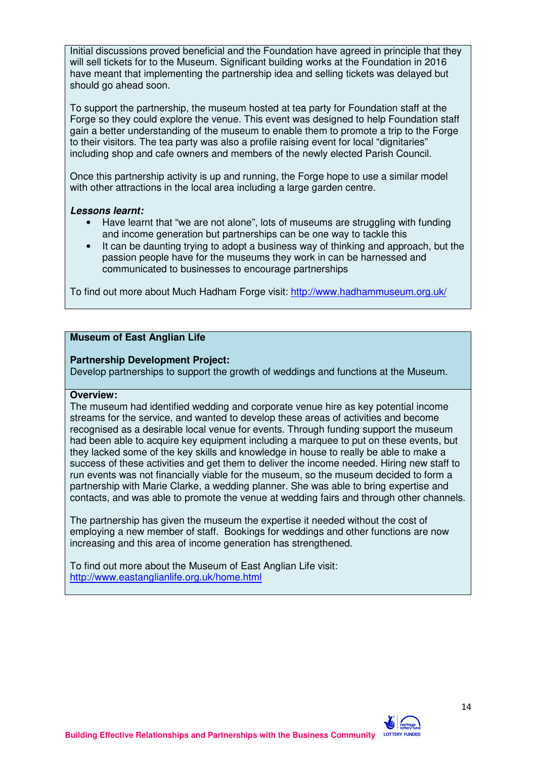Initial discussions proved beneficial and the Foundation have agreed in principle that they will sell tickets for to the Museum. Significant building works at the Foundation in 2016 have meant that implementing the partnership idea and selling tickets was delayed but should go ahead soon.

To support the partnership, the museum hosted at tea party for Foundation staff at the Forge so they could explore the venue. This event was designed to help Foundation staff gain a better understanding of the museum to enable them to promote a trip to the Forge to their visitors. The tea party was also a profile raising event for local "dignitaries" including shop and cafe owners and members of the newly elected Parish Council.

Once this partnership activity is up and running, the Forge hope to use a similar model with other attractions in the local area including a large garden centre.

#### **Lessons learnt:**

- Have learnt that "we are not alone", lots of museums are struggling with funding and income generation but partnerships can be one way to tackle this
- It can be daunting trying to adopt a business way of thinking and approach, but the passion people have for the museums they work in can be harnessed and communicated to businesses to encourage partnerships

To find out more about Much Hadham Forge visit: http://www.hadhammuseum.org.uk/

#### **Museum of East Anglian Life**

#### **Partnership Development Project:**

Develop partnerships to support the growth of weddings and functions at the Museum.

#### **Overview:**

The museum had identified wedding and corporate venue hire as key potential income streams for the service, and wanted to develop these areas of activities and become recognised as a desirable local venue for events. Through funding support the museum had been able to acquire key equipment including a marquee to put on these events, but they lacked some of the key skills and knowledge in house to really be able to make a success of these activities and get them to deliver the income needed. Hiring new staff to run events was not financially viable for the museum, so the museum decided to form a partnership with Marie Clarke, a wedding planner. She was able to bring expertise and contacts, and was able to promote the venue at wedding fairs and through other channels.

The partnership has given the museum the expertise it needed without the cost of employing a new member of staff. Bookings for weddings and other functions are now increasing and this area of income generation has strengthened.

To find out more about the Museum of East Anglian Life visit: http://www.eastanglianlife.org.uk/home.html

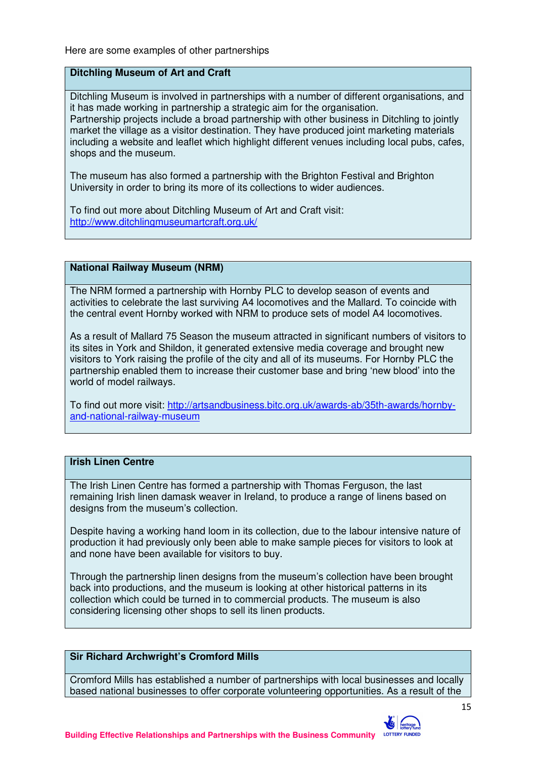Here are some examples of other partnerships

#### **Ditchling Museum of Art and Craft**

Ditchling Museum is involved in partnerships with a number of different organisations, and it has made working in partnership a strategic aim for the organisation. Partnership projects include a broad partnership with other business in Ditchling to jointly market the village as a visitor destination. They have produced joint marketing materials including a website and leaflet which highlight different venues including local pubs, cafes, shops and the museum.

The museum has also formed a partnership with the Brighton Festival and Brighton University in order to bring its more of its collections to wider audiences.

To find out more about Ditchling Museum of Art and Craft visit: http://www.ditchlingmuseumartcraft.org.uk/

#### **National Railway Museum (NRM)**

The NRM formed a partnership with Hornby PLC to develop season of events and activities to celebrate the last surviving A4 locomotives and the Mallard. To coincide with the central event Hornby worked with NRM to produce sets of model A4 locomotives.

As a result of Mallard 75 Season the museum attracted in significant numbers of visitors to its sites in York and Shildon, it generated extensive media coverage and brought new visitors to York raising the profile of the city and all of its museums. For Hornby PLC the partnership enabled them to increase their customer base and bring 'new blood' into the world of model railways.

To find out more visit: http://artsandbusiness.bitc.org.uk/awards-ab/35th-awards/hornbyand-national-railway-museum

#### **Irish Linen Centre**

The Irish Linen Centre has formed a partnership with Thomas Ferguson, the last remaining Irish linen damask weaver in Ireland, to produce a range of linens based on designs from the museum's collection.

Despite having a working hand loom in its collection, due to the labour intensive nature of production it had previously only been able to make sample pieces for visitors to look at and none have been available for visitors to buy.

Through the partnership linen designs from the museum's collection have been brought back into productions, and the museum is looking at other historical patterns in its collection which could be turned in to commercial products. The museum is also considering licensing other shops to sell its linen products.

#### **Sir Richard Archwright's Cromford Mills**

Cromford Mills has established a number of partnerships with local businesses and locally based national businesses to offer corporate volunteering opportunities. As a result of the

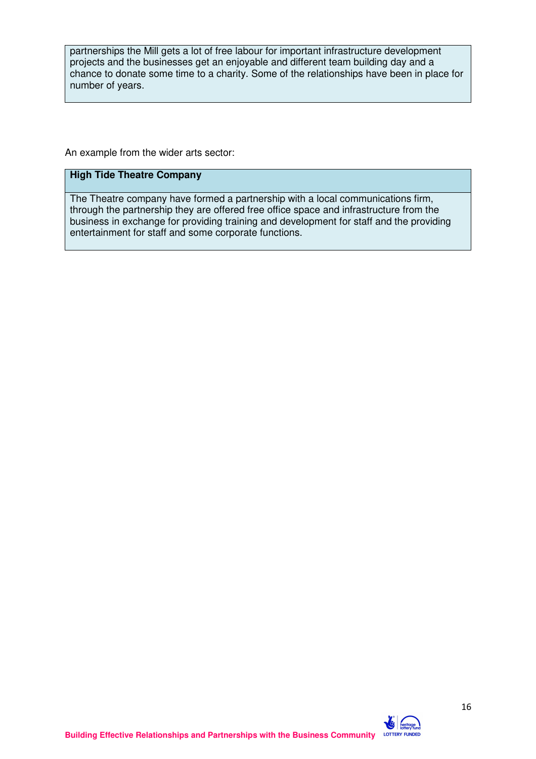partnerships the Mill gets a lot of free labour for important infrastructure development projects and the businesses get an enjoyable and different team building day and a chance to donate some time to a charity. Some of the relationships have been in place for number of years.

An example from the wider arts sector:

#### **High Tide Theatre Company**

The Theatre company have formed a partnership with a local communications firm, through the partnership they are offered free office space and infrastructure from the business in exchange for providing training and development for staff and the providing entertainment for staff and some corporate functions.

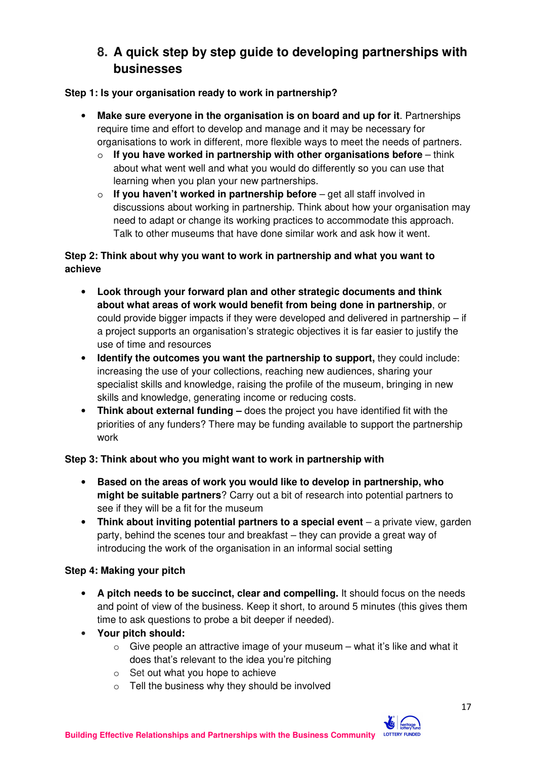## **8. A quick step by step guide to developing partnerships with businesses**

#### **Step 1: Is your organisation ready to work in partnership?**

- **Make sure everyone in the organisation is on board and up for it**. Partnerships require time and effort to develop and manage and it may be necessary for organisations to work in different, more flexible ways to meet the needs of partners.
	- o **If you have worked in partnership with other organisations before** think about what went well and what you would do differently so you can use that learning when you plan your new partnerships.
	- o **If you haven't worked in partnership before** get all staff involved in discussions about working in partnership. Think about how your organisation may need to adapt or change its working practices to accommodate this approach. Talk to other museums that have done similar work and ask how it went.

#### **Step 2: Think about why you want to work in partnership and what you want to achieve**

- **Look through your forward plan and other strategic documents and think about what areas of work would benefit from being done in partnership**, or could provide bigger impacts if they were developed and delivered in partnership – if a project supports an organisation's strategic objectives it is far easier to justify the use of time and resources
- **Identify the outcomes you want the partnership to support,** they could include: increasing the use of your collections, reaching new audiences, sharing your specialist skills and knowledge, raising the profile of the museum, bringing in new skills and knowledge, generating income or reducing costs.
- **Think about external funding –** does the project you have identified fit with the priorities of any funders? There may be funding available to support the partnership work

#### **Step 3: Think about who you might want to work in partnership with**

- **Based on the areas of work you would like to develop in partnership, who might be suitable partners**? Carry out a bit of research into potential partners to see if they will be a fit for the museum
- **Think about inviting potential partners to a special event** a private view, garden party, behind the scenes tour and breakfast – they can provide a great way of introducing the work of the organisation in an informal social setting

#### **Step 4: Making your pitch**

- **A pitch needs to be succinct, clear and compelling.** It should focus on the needs and point of view of the business. Keep it short, to around 5 minutes (this gives them time to ask questions to probe a bit deeper if needed).
- **Your pitch should:**
	- $\circ$  Give people an attractive image of your museum what it's like and what it does that's relevant to the idea you're pitching
	- o Set out what you hope to achieve
	- o Tell the business why they should be involved

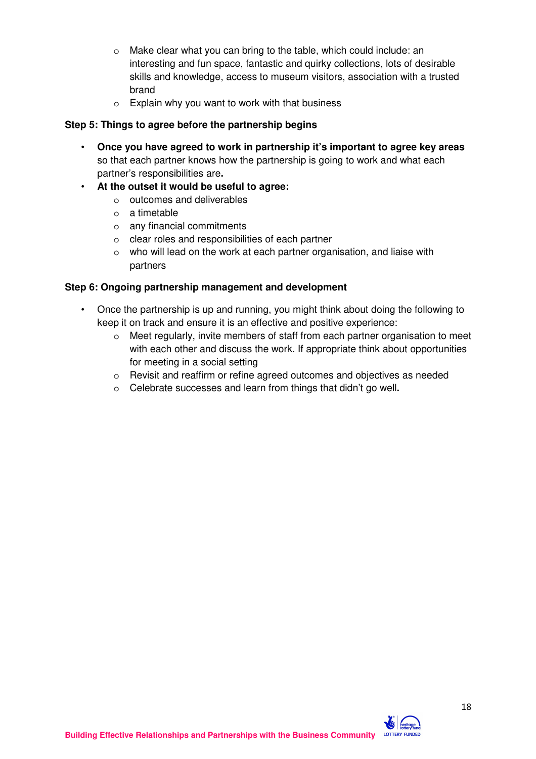- o Make clear what you can bring to the table, which could include: an interesting and fun space, fantastic and quirky collections, lots of desirable skills and knowledge, access to museum visitors, association with a trusted brand
- o Explain why you want to work with that business

#### **Step 5: Things to agree before the partnership begins**

- **Once you have agreed to work in partnership it's important to agree key areas**  so that each partner knows how the partnership is going to work and what each partner's responsibilities are**.**
- **At the outset it would be useful to agree:** 
	- o outcomes and deliverables
	- o a timetable
	- o any financial commitments
	- o clear roles and responsibilities of each partner
	- o who will lead on the work at each partner organisation, and liaise with partners

#### **Step 6: Ongoing partnership management and development**

- Once the partnership is up and running, you might think about doing the following to keep it on track and ensure it is an effective and positive experience:
	- o Meet regularly, invite members of staff from each partner organisation to meet with each other and discuss the work. If appropriate think about opportunities for meeting in a social setting
	- o Revisit and reaffirm or refine agreed outcomes and objectives as needed
	- o Celebrate successes and learn from things that didn't go well**.**

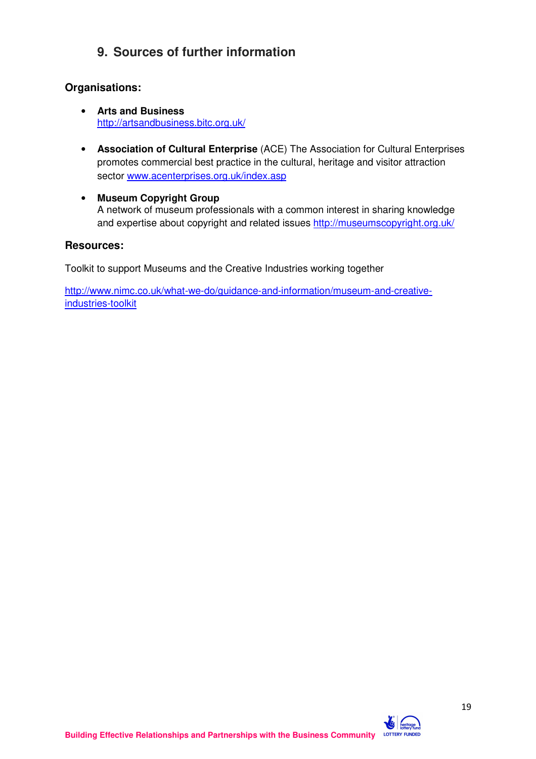## **9. Sources of further information**

#### **Organisations:**

- **Arts and Business**  http://artsandbusiness.bitc.org.uk/
- **Association of Cultural Enterprise** (ACE) The Association for Cultural Enterprises promotes commercial best practice in the cultural, heritage and visitor attraction sector www.acenterprises.org.uk/index.asp
- **Museum Copyright Group**  A network of museum professionals with a common interest in sharing knowledge and expertise about copyright and related issues http://museumscopyright.org.uk/

#### **Resources:**

Toolkit to support Museums and the Creative Industries working together

http://www.nimc.co.uk/what-we-do/guidance-and-information/museum-and-creativeindustries-toolkit

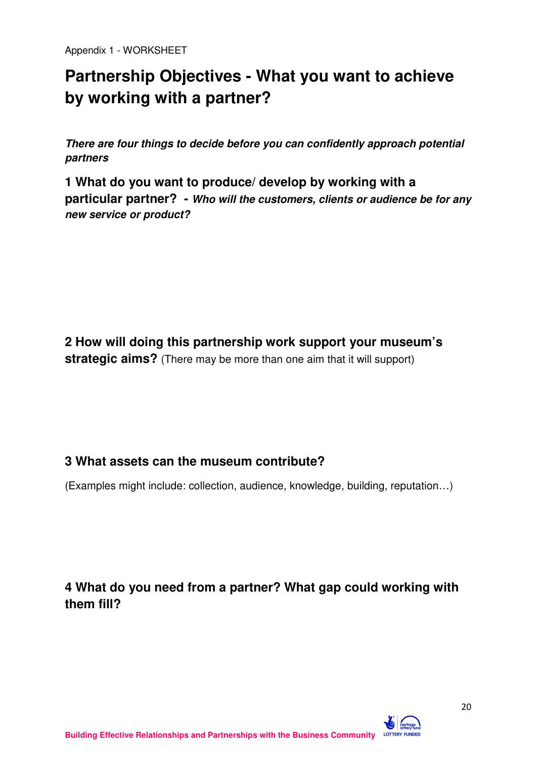Appendix 1 - WORKSHEET

## **Partnership Objectives - What you want to achieve by working with a partner?**

**There are four things to decide before you can confidently approach potential partners** 

**1 What do you want to produce/ develop by working with a particular partner? - Who will the customers, clients or audience be for any new service or product?**

**2 How will doing this partnership work support your museum's strategic aims?** (There may be more than one aim that it will support)

## **3 What assets can the museum contribute?**

(Examples might include: collection, audience, knowledge, building, reputation…)

**4 What do you need from a partner? What gap could working with them fill?** 

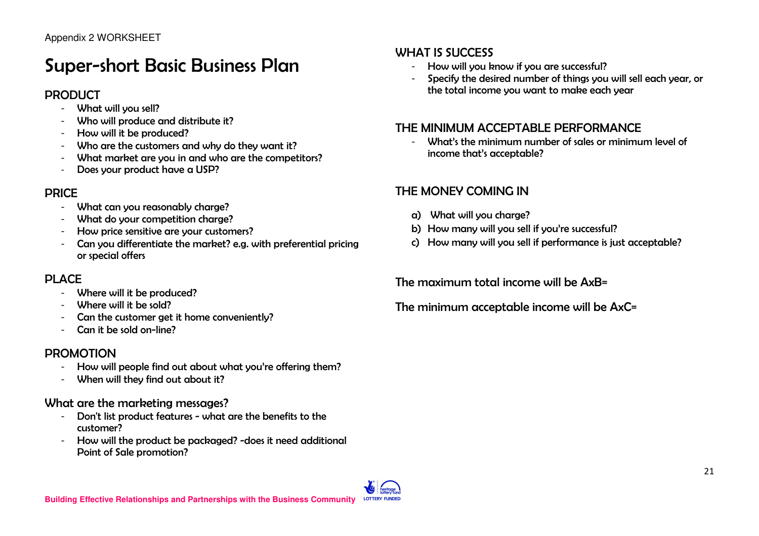# *Super-short Basic Business Plan*

## *PRODUCT*

- *What will you sell?*
- *Who will produce and distribute it?*
- *cow will it be produced?*
- *Who are the customers and why do they want it?*
- *What marnet are you in and who are the competitors?*
- *Does your product have a USP?*

## *PRICE*

- *What can you reasonably charge?*
- *What do your competition charge?*
- *cow price sensitive are your customers?*
- Can you differentiate the market? e.g. with preferential pricing *or special offers*

## *PLACE*

- *Where will it be produced?*
- *Where will it be sold?*
- *Can the customer get it home conveniently?*
- *Can it be sold on-line?*

## *PROMOTION*

- How will people find out about what you're offering them?
- *When will they find out about it?*

## *What are the marketing messages?*

- *Don't list product features what are the benefits to the customer?*
- How will the product be packaged? -does it need additional *Point of Sale promotion?*

## WHAT IS SUCCESS

- How will you know if you are successful?
- *Specify the desired number of things you will sell each year, or* the total income you want to make each year

## **THE MINIMUM ACCEPTABLE PERFORMANCE**

 - *What's the minimum number of sales or minimum level of income that's acceptable?* 

## **THE MONEY COMING IN**

- *a) What will you charge?*
- *b) cow many will you sell if you're successful?*
- *c) cow many will you sell if performance is just acceptable?*

*The maximum total income will be AxB=* 

*The minimum acceptable income will be AxC=*